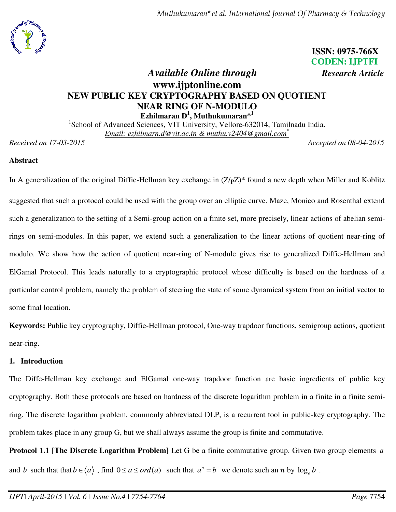

# **ISSN: 0975-766X CODEN: IJPTFI**

# *Available Online through Research Article* **www.ijptonline.com NEW PUBLIC KEY CRYPTOGRAPHY BASED ON QUOTIENT NEAR RING OF N-MODULO Ezhilmaran D<sup>1</sup> , Muthukumaran\*<sup>1</sup>**

<sup>1</sup>School of Advanced Sciences, VIT University, Vellore-632014, Tamilnadu India. *Email: ezhilmarn.d@vit.ac.in & muthu.v2404@gmail.com\**

*Received on 17-03-2015 Accepted on 08-04-2015*

# **Abstract**

In A generalization of the original Diffie-Hellman key exchange in  $(Z/pZ)^*$  found a new depth when Miller and Koblitz suggested that such a protocol could be used with the group over an elliptic curve. Maze, Monico and Rosenthal extend such a generalization to the setting of a Semi-group action on a finite set, more precisely, linear actions of abelian semirings on semi-modules. In this paper, we extend such a generalization to the linear actions of quotient near-ring of modulo. We show how the action of quotient near-ring of N-module gives rise to generalized Diffie-Hellman and ElGamal Protocol. This leads naturally to a cryptographic protocol whose difficulty is based on the hardness of a particular control problem, namely the problem of steering the state of some dynamical system from an initial vector to some final location.

**Keywords:** Public key cryptography, Diffie-Hellman protocol, One-way trapdoor functions, semigroup actions, quotient near-ring.

# **1. Introduction**

The Diffe-Hellman key exchange and ElGamal one-way trapdoor function are basic ingredients of public key cryptography. Both these protocols are based on hardness of the discrete logarithm problem in a finite in a finite semiring. The discrete logarithm problem, commonly abbreviated DLP, is a recurrent tool in public-key cryptography. The problem takes place in any group G, but we shall always assume the group is finite and commutative.

**Protocol 1.1 [The Discrete Logarithm Problem]** Let G be a finite commutative group. Given two group elements *a* and *b* such that that  $b \in \langle a \rangle$ , find  $0 \le a \le ord(a)$  such that  $a^n = b$  we denote such an *n* by  $\log_a b$ .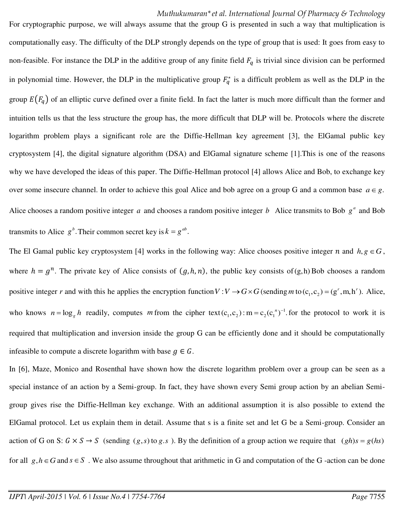For cryptographic purpose, we will always assume that the group G is presented in such a way that multiplication is computationally easy. The difficulty of the DLP strongly depends on the type of group that is used: It goes from easy to non-feasible. For instance the DLP in the additive group of any finite field  $F_q$  is trivial since division can be performed in polynomial time. However, the DLP in the multiplicative group  $F_q^*$  is a difficult problem as well as the DLP in the group  $E(F_q)$  of an elliptic curve defined over a finite field. In fact the latter is much more difficult than the former and intuition tells us that the less structure the group has, the more difficult that DLP will be. Protocols where the discrete logarithm problem plays a significant role are the Diffie-Hellman key agreement [3], the ElGamal public key cryptosystem [4], the digital signature algorithm (DSA) and ElGamal signature scheme [1].This is one of the reasons why we have developed the ideas of this paper. The Diffie-Hellman protocol [4] allows Alice and Bob, to exchange key over some insecure channel. In order to achieve this goal Alice and bob agree on a group G and a common base  $a \in g$ . Alice chooses a random positive integer  $a$  and chooses a random positive integer  $b$  Alice transmits to Bob  $g^a$  and Bob transmits to Alice  $g^b$ . Their common secret key is  $k = g^{ab}$ .

The El Gamal public key cryptosystem [4] works in the following way: Alice chooses positive integer *n* and  $h, g \in G$ , where  $h = g^n$ . The private key of Alice consists of  $(g, h, n)$ , the public key consists of  $(g, h)$  Bob chooses a random positive integer *r* and with this he applies the encryption function  $V: V \to G \times G$  (sending *m* to  $(c_1, c_2) = (g^r, m, h^r)$ . Alice, who knows  $n = \log_{g} h$  readily, computes *m* from the cipher text  $(c_1, c_2)$ :  $m = c_2(c_1^{n})^{-1}$ . for the protocol to work it is required that multiplication and inversion inside the group G can be efficiently done and it should be computationally infeasible to compute a discrete logarithm with base  $q \in G$ .

In [6], Maze, Monico and Rosenthal have shown how the discrete logarithm problem over a group can be seen as a special instance of an action by a Semi-group. In fact, they have shown every Semi group action by an abelian Semigroup gives rise the Diffie-Hellman key exchange. With an additional assumption it is also possible to extend the ElGamal protocol. Let us explain them in detail. Assume that s is a finite set and let G be a Semi-group. Consider an action of G on S:  $G \times S \rightarrow S$  (sending  $(g, s)$  to  $g, s$ ). By the definition of a group action we require that  $(gh)s = g(hs)$ for all  $g, h \in G$  and  $s \in S$ . We also assume throughout that arithmetic in G and computation of the G -action can be done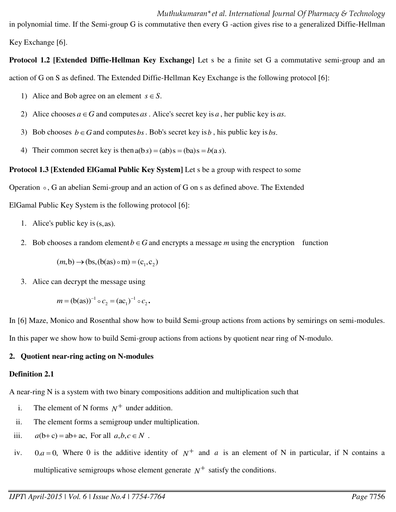in polynomial time. If the Semi-group G is commutative then every G -action gives rise to a generalized Diffie-Hellman Key Exchange [6].

**Protocol 1.2 [Extended Diffie-Hellman Key Exchange]** Let s be a finite set G a commutative semi-group and an action of G on S as defined. The Extended Diffie-Hellman Key Exchange is the following protocol [6]:

- 1) Alice and Bob agree on an element  $s \in S$ .
- 2) Alice chooses  $a \in G$  and computes *as*. Alice's secret key is *a*, her public key is *as*.
- 3) Bob chooses  $b \in G$  and computes *bs*. Bob's secret key is *b*, his public key is *bs*.
- 4) Their common secret key is then  $a(b s) = (ab)s = (ba)s = b(a s)$ .

# **Protocol 1.3 [Extended ElGamal Public Key System]** Let s be a group with respect to some

Operation  $\circ$ , G an abelian Semi-group and an action of G on s as defined above. The Extended

ElGamal Public Key System is the following protocol [6]:

- 1. Alice's public key is(s,as).
- 2. Bob chooses a random element  $b \in G$  and encrypts a message *m* using the encryption function

$$
(m, b) \rightarrow (bs, (b(as) \circ m) = (c1, c2)
$$

3. Alice can decrypt the message using

$$
m = (b(as))^{-1} \circ c_2 = (ac_1)^{-1} \circ c_2.
$$

In [6] Maze, Monico and Rosenthal show how to build Semi-group actions from actions by semirings on semi-modules.

# In this paper we show how to build Semi-group actions from actions by quotient near ring of N-modulo.

# **2. Quotient near-ring acting on N-modules**

# **Definition 2.1**

A near-ring N is a system with two binary compositions addition and multiplication such that

- i. The element of N forms  $N^+$  under addition.
- ii. The element forms a semigroup under multiplication.
- iii.  $a(b+c) = ab + ac$ , For all  $a, b, c \in N$ .
- iv.  $0.a = 0$ , Where 0 is the additive identity of  $N^+$  and *a* is an element of N in particular, if N contains a multiplicative semigroups whose element generate  $N^+$  satisfy the conditions.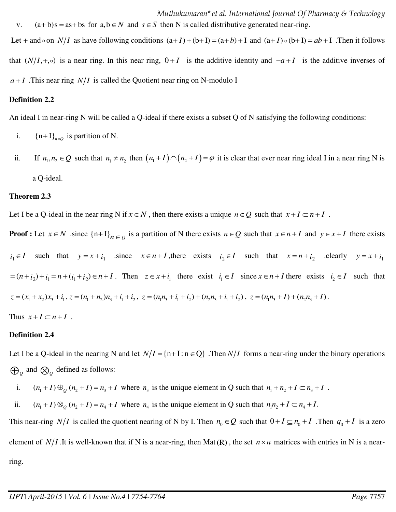Let + and  $\circ$  on *N/I* as have following conditions  $(a+I)+(b+I)=(a+b)+I$  and  $(a+I)\circ(b+I)=ab+I$ . Then it follows that  $(N/I, +, \circ)$  is a near ring. In this near ring,  $0 + I$  is the additive identity and  $-a + I$  is the additive inverses of  $a+I$ . This near ring  $N/I$  is called the Quotient near ring on N-modulo I

# **Definition 2.2**

An ideal I in near-ring N will be called a Q-ideal if there exists a subset Q of N satisfying the following conditions:

- i.  ${n+1}_{n \in Q}$  is partition of N.
- ii. If  $n_1, n_2 \in Q$  such that  $n_1 \neq n_2$  then  $(n_1 + I) \cap (n_2 + I) = \varphi$  it is clear that ever near ring ideal I in a near ring N is a Q-ideal.

### **Theorem 2.3**

Let I be a Q-ideal in the near ring N if  $x \in N$ , then there exists a unique  $n \in Q$  such that  $x + I \subset n + I$ .

**Proof**: Let  $x \in N$  since  $\{n+1\}_{n \in Q}$  is a partition of N there exists  $n \in Q$  such that  $x \in n+1$  and  $y \in x+1$  there exists  $i_1 \in I$  such that  $y = x + i_1$  since  $x \in n + I$ , there exists  $i_2 \in I$  such that  $x = n + i_2$  clearly  $y = x + i_1$  $z = (n + i_2) + i_1 = n + (i_1 + i_2) \in n + I$ . Then  $z \in x + i_1$  there exist  $i_1 \in I$  since  $x \in n + I$  there exists  $i_2 \in I$  such that  $z = (x_1 + x_2)x_3 + i_1$ ,  $z = (n_1 + n_2)n_3 + i_1 + i_2$ ,  $z = (n_1n_3 + i_1 + i_2) + (n_2n_3 + i_1 + i_2)$ ,  $z = (n_1n_3 + 1) + (n_2n_3 + 1)$ . Thus  $x+I \subset n+I$ .

# **Definition 2.4**

Let I be a Q-ideal in the nearing N and let  $N/I = \{n+1 : n \in Q\}$ . Then  $N/I$  forms a near-ring under the binary operations  $\bigoplus_{\mathcal{Q}}$  and  $\bigotimes_{\mathcal{Q}}$  defined as follows:

i.  $(n_1+I) \bigoplus_Q (n_2+I) = n_3+I$  where  $n_3$  is the unique element in Q such that  $n_1 + n_2 + I \subset n_3 + I$ .

ii.  $(n_1 + I) \otimes_q (n_2 + I) = n_4 + I$  where  $n_4$  is the unique element in Q such that  $n_1 n_2 + I \subset n_4 + I$ .

This near-ring  $N/I$  is called the quotient nearing of N by I. Then  $n_0 \in Q$  such that  $0 + I \subseteq n_0 + I$ . Then  $q_0 + I$  is a zero element of  $N/I$ . It is well-known that if N is a near-ring, then Mat(R), the set  $n \times n$  matrices with entries in N is a nearring.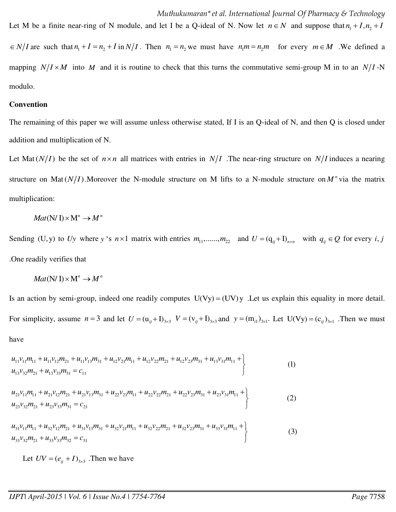$N/I$  are such that  $n_1 + I = n_2 + I$  in  $N/I$ . Then  $n_1 = n_2$  we must have  $n_1m = n_2m$  for every  $m \in M$  . We defined a mapping  $N/I \times M$  into M and it is routine to check that this turns the commutative semi-group M in to an  $N/I$ -N modulo.

Let M be a finite near-ring of N module, and let I be a Q-ideal of N. Now let  $n \in N$  and suppose that  $n_1 + I$ ,  $n_2 + I$ 

#### **Convention**

The remaining of this paper we will assume unless otherwise stated, If I is an Q-ideal of N, and then Q is closed under addition and multiplication of N.

Let Mat( $N/I$ ) be the set of  $n \times n$  all matrices with entries in  $N/I$  . The near-ring structure on  $N/I$  induces a nearing structure on Mat $(N/I)$ . Moreover the N-module structure on M lifts to a N-module structure on  $M^n$  via the matrix multiplication:

$$
Mat(N/I) \times M^n \to M^n
$$

Sending (U,y) to Uy where *y* 's  $n \times 1$  matrix with entries  $m_1, \dots, m_{22}$  and  $U = (q_{ij} + I)_{n \times n}$  with  $q_{ij} \in Q$  for every *i*, *j* .One readily verifies that

$$
Mat(N/\mathrm{I})\times M^n\to M^n
$$

Is an action by semi-group, indeed one readily computes  $U(Vy) = (UV)y$  . Let us explain this equality in more detail. For simplicity, assume  $n = 3$  and let  $U = (u_{ij} + I)_{3 \times 3}$   $V = (v_{ij} + I)_{3 \times 3}$  and  $y = (m_{i1})_{3 \times 1}$ . Let  $U(Vy) = (c_{ij})_{3 \times 1}$ . Then we must have

$$
u_{11}v_{11}m_{11} + u_{11}v_{12}m_{21} + u_{11}v_{13}m_{31} + u_{12}v_{21}m_{11} + u_{12}v_{22}m_{21} + u_{12}v_{23}m_{31} + u_{13}v_{31}m_{11} +
$$
  
\n
$$
u_{13}v_{32}m_{21} + u_{13}v_{33}m_{31} = c_{11}
$$
\n(1)

$$
u_{21}v_{11}m_{11} + u_{21}v_{12}m_{21} + u_{21}v_{13}m_{31} + u_{22}v_{21}m_{11} + u_{22}v_{22}m_{21} + u_{22}v_{23}m_{31} + u_{23}v_{31}m_{11} +
$$
  
\n
$$
u_{23}v_{32}m_{21} + u_{23}v_{33}m_{31} = c_{21}
$$
\n(2)

 $u_{31}v_{11}m_{11} + u_{32}v_{12}m_{21} + u_{31}v_{13}m_{31} + u_{32}v_{21}m_{11} + u_{32}v_{22}m_{21} + u_{32}v_{23}m_{31} + u_{33}v_{31}m_{11} +$  $u_{33}v_{32}m_{21} + u_{33}v_{33}m_{32} = c_{31}$ (3)  $+ u_{33}v_{33}m_{32} = c_{31}$ 

Let  $UV = (e_{ij} + I)_{3 \times 3}$ . Then we have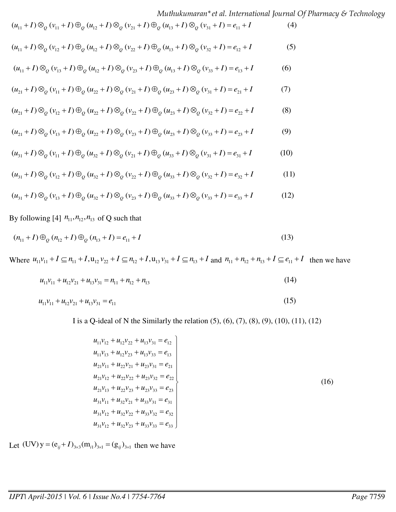*Muthukumaran\*et al. International Journal Of Pharmacy & Technology* 

$$
(u_{11} + I) \otimes_{\mathcal{Q}} (v_{11} + I) \oplus_{\mathcal{Q}} (u_{12} + I) \otimes_{\mathcal{Q}} (v_{21} + I) \oplus_{\mathcal{Q}} (u_{13} + I) \otimes_{\mathcal{Q}} (v_{31} + I) = e_{11} + I
$$
 (4)

$$
(u_{11}+I)\otimes_{\mathcal{Q}}(\nu_{12}+I)\oplus_{\mathcal{Q}}(\nu_{12}+I)\otimes_{\mathcal{Q}}(\nu_{22}+I)\oplus_{\mathcal{Q}}(\nu_{13}+I)\otimes_{\mathcal{Q}}(\nu_{32}+I)=e_{12}+I
$$
 (5)

$$
(u_{11}+I)\otimes_{\mathcal{Q}}(\nu_{13}+I)\oplus_{\mathcal{Q}}(u_{12}+I)\otimes_{\mathcal{Q}}(\nu_{23}+I)\oplus_{\mathcal{Q}}(u_{13}+I)\otimes_{\mathcal{Q}}(\nu_{33}+I)=e_{13}+I
$$
 (6)

$$
(u_{21}+I)\otimes_{Q}(v_{11}+I)\oplus_{Q}(u_{22}+I)\otimes_{Q}(v_{21}+I)\oplus_{Q}(u_{23}+I)\otimes_{Q}(v_{31}+I)=e_{21}+I
$$
 (7)

$$
(u_{21}+I)\otimes_{\mathcal{Q}}(\nu_{12}+I)\oplus_{\mathcal{Q}}(u_{22}+I)\otimes_{\mathcal{Q}}(\nu_{22}+I)\oplus_{\mathcal{Q}}(u_{23}+I)\otimes_{\mathcal{Q}}(\nu_{32}+I)=e_{22}+I
$$
 (8)

$$
(u_{21}+I)\otimes_{Q}(v_{13}+I)\oplus_{Q}(u_{22}+I)\otimes_{Q}(v_{23}+I)\oplus_{Q}(u_{23}+I)\otimes_{Q}(v_{33}+I)=e_{23}+I
$$
 (9)

$$
(u_{31}+I)\otimes_{\mathcal{Q}}(\nu_{11}+I)\oplus_{\mathcal{Q}}(u_{32}+I)\otimes_{\mathcal{Q}}(\nu_{21}+I)\oplus_{\mathcal{Q}}(u_{33}+I)\otimes_{\mathcal{Q}}(\nu_{31}+I)=e_{31}+I
$$
 (10)

$$
(u_{31}+I)\otimes_{\mathcal{Q}}(\nu_{12}+I)\oplus_{\mathcal{Q}}(u_{32}+I)\otimes_{\mathcal{Q}}(\nu_{22}+I)\oplus_{\mathcal{Q}}(u_{33}+I)\otimes_{\mathcal{Q}}(\nu_{32}+I)=e_{32}+I
$$
 (11)

$$
(u_{31}+I)\otimes_Q (v_{13}+I)\oplus_Q (u_{32}+I)\otimes_Q (v_{23}+I)\oplus_Q (u_{33}+I)\otimes_Q (v_{33}+I)=e_{33}+I
$$
 (12)

By following [4]  $n_{11}$ ,  $n_{12}$ ,  $n_{13}$  of Q such that

$$
(n_{11} + I) \bigoplus_{Q} (n_{12} + I) \bigoplus_{Q} (n_{13} + I) = e_{11} + I
$$
\n(13)

Where  $u_{11}v_{11} + I \subseteq n_{11} + I$ ,  $u_{12}v_{22} + I \subseteq n_{12} + I$ ,  $u_{13}v_{31} + I \subseteq n_{13} + I$  and  $n_{11} + n_{12} + n_{13} + I \subseteq e_{11} + I$  then we have

$$
u_{11}v_{11} + u_{12}v_{21} + u_{13}v_{31} = n_{11} + n_{12} + n_{13}
$$
\n(14)

$$
u_{11}v_{11} + u_{12}v_{21} + u_{13}v_{31} = e_{11}
$$
 (15)

I is a Q-ideal of N the Similarly the relation  $(5)$ ,  $(6)$ ,  $(7)$ ,  $(8)$ ,  $(9)$ ,  $(10)$ ,  $(11)$ ,  $(12)$ 

$$
u_{11}v_{12} + u_{12}v_{22} + u_{13}v_{31} = e_{12}
$$
  
\n
$$
u_{11}v_{13} + u_{12}v_{23} + u_{13}v_{33} = e_{13}
$$
  
\n
$$
u_{21}v_{11} + u_{22}v_{21} + u_{23}v_{31} = e_{21}
$$
  
\n
$$
u_{21}v_{12} + u_{22}v_{22} + u_{23}v_{32} = e_{22}
$$
  
\n
$$
u_{21}v_{13} + u_{22}v_{23} + u_{23}v_{33} = e_{23}
$$
  
\n
$$
u_{31}v_{11} + u_{32}v_{21} + u_{33}v_{31} = e_{31}
$$
  
\n
$$
u_{31}v_{12} + u_{32}v_{22} + u_{33}v_{32} = e_{32}
$$
  
\n
$$
u_{31}v_{12} + u_{32}v_{23} + u_{33}v_{32} = e_{32}
$$
  
\n
$$
u_{31}v_{12} + u_{32}v_{23} + u_{33}v_{33} = e_{33}
$$
  
\n(16)

Let  $(UV)y = (e_{ij} + I)_{3 \times 3} (m_{i1})_{3 \times 1} = (g_{ij})_{3 \times 1}$  then we have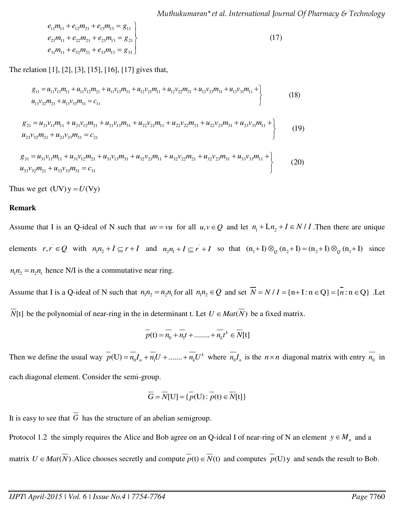*Muthukumaran\*et al. International Journal Of Pharmacy & Technology* 

$$
e_{11}m_{11} + e_{12}m_{21} + e_{13}m_{13} = g_{11}
$$
  
\n
$$
e_{21}m_{11} + e_{22}m_{21} + e_{23}m_{13} = g_{21}
$$
  
\n
$$
e_{31}m_{11} + e_{32}m_{21} + e_{33}m_{13} = g_{31}
$$
\n(17)

The relation [1], [2], [3], [15], [16], [17] gives that,

$$
g_{11} = u_{11}v_{11}m_{11} + u_{11}v_{12}m_{21} + u_{11}v_{13}m_{31} + u_{12}v_{21}m_{11} + u_{12}v_{22}m_{21} + u_{12}v_{23}m_{31} + u_{13}v_{31}m_{11} +
$$
  

$$
u_{13}v_{32}m_{21} + u_{13}v_{33}m_{31} = c_{11}
$$
 (18)

$$
g_{21} = u_{21}v_{11}m_{11} + u_{21}v_{12}m_{21} + u_{21}v_{13}m_{31} + u_{22}v_{21}m_{11} + u_{22}v_{22}m_{21} + u_{22}v_{23}m_{31} + u_{23}v_{31}m_{11} +
$$
  

$$
u_{23}v_{32}m_{21} + u_{23}v_{33}m_{31} = c_{21}
$$
 (19)

$$
g_{31} = u_{31}v_{11}m_{11} + u_{31}v_{12}m_{21} + u_{31}v_{13}m_{31} + u_{32}v_{21}m_{11} + u_{32}v_{22}m_{21} + u_{32}v_{23}m_{31} + u_{33}v_{31}m_{11} +
$$
  

$$
u_{33}v_{32}m_{21} + u_{33}v_{33}m_{31} = c_{31}
$$
 (20)

Thus we get  $(UV)y = U(Vy)$ 

#### **Remark**

Assume that I is an Q-ideal of N such that  $uv = vu$  for all  $u, v \in Q$  and let  $n_1 + I, n_2 + I \in N/I$ . Then there are unique elements  $r, r \in Q$  with  $n_1 n_2 + I \subseteq r + I$  and  $n_2 n_1 + I \subseteq r + I$  so that  $(n_1 + I) \otimes_Q (n_2 + I) = (n_2 + I) \otimes_Q (n_1 + I)$  since  $n_1 n_2 = n_2 n_1$  hence N/I is the a commutative near ring. Assume that I is a Q-ideal of N such that  $n_1 n_2 = n_2 n_1$  for all  $n_1 n_2 \in Q$  and set  $\overline{N} = N / I = \{n+1 : n \in Q\} = \{n : n \in Q\}$ . Let

 $\overline{N}[t]$  be the polynomial of near-ring in the in determinant t. Let  $U \in Mat(\overline{N})$  be a fixed matrix.

$$
\overline{p}(t) = \overline{n_0} + \overline{n_1}t + \dots + \overline{n_k}t^k \in \overline{N}[t]
$$

Then we define the usual way  $p(U) = n_0 I_n + n_1 U + \dots + n_k U^k$  where  $n_0 I_n$  is the  $n \times n$  diagonal matrix with entry  $n_0$  in each diagonal element. Consider the semi-group.

$$
\overline{G} = \overline{N}[U] = \{\overline{p}(U) : \overline{p}(t) \in \overline{N}[t]\}
$$

It is easy to see that  $\overline{G}$  has the structure of an abelian semigroup.

Protocol 1.2 the simply requires the Alice and Bob agree on an Q-ideal I of near-ring of N an element  $y \in M_n$  and a matrix  $U \in Mat(\overline{N})$ . Alice chooses secretly and compute  $p(t) \in \overline{N}(t)$  and computes  $p(U)y$  and sends the result to Bob.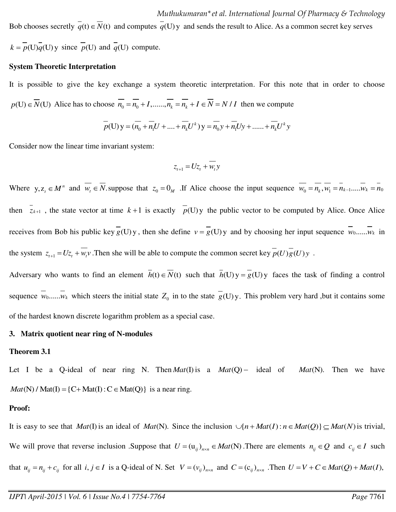Bob chooses secretly  $\overline{q}(t) \in \overline{N}(t)$  and computes  $\overline{q}(U)$  y and sends the result to Alice. As a common secret key serves

 $k = p(U)q(U)$  since  $p(U)$  and  $q(U)$  compute.

#### **System Theoretic Interpretation**

It is possible to give the key exchange a system theoretic interpretation. For this note that in order to choose  $p(U) \in \overline{N}(U)$  Alice has to choose  $\overline{n_0} = \overline{n_0} + I, \dots, \overline{n_k} = \overline{n_k} + I \in \overline{N} = N / I$  then we compute

$$
\overline{p}(U)y = (\overline{n_0} + \overline{n_1}U + \dots + \overline{n_k}U^k)y = \overline{n_0}y + \overline{n_1}Uy + \dots + \overline{n_k}U^ky
$$

Consider now the linear time invariant system:

$$
z_{t+1} = Uz_t + w_t y
$$

Where  $y, z_t \in M^n$  and  $w_t \in N$  suppose that  $z_0 = 0_M$ . If Alice choose the input sequence  $w_0 = n_k, w_1 = n_{k-1}... \cdot w_k = n_0$ then  $\overline{z_{k+1}}$ , the state vector at time  $k+1$  is exactly  $\overline{p}(U)y$  the public vector to be computed by Alice. Once Alice receives from Bob his public key  $g(U)y$ , then she define  $v = g(U)y$  and by choosing her input sequence  $w_0$ ...... $w_k$  in the system  $z_{t+1} = Uz_t + w_t v$ . Then she will be able to compute the common secret key  $p(U)g(U)y$ .

Adversary who wants to find an element  $\overline{h}(t) \in \overline{N}(t)$  such that  $\overline{h}(U)y = g(U)y$  faces the task of finding a control sequence  $w_0, \ldots, w_k$  which steers the initial state  $Z_0$  in to the state  $g(U)y$ . This problem very hard ,but it contains some of the hardest known discrete logarithm problem as a special case.

#### **3. Matrix quotient near ring of N-modules**

#### **Theorem 3.1**

Let I be a Q-ideal of near ring N. Then  $Mat(I)$  is a  $Mat(Q)$  - ideal of  $Mat(N)$ . Then we have  $Mat(N)$  / Mat(I) = {C+ Mat(I) : C  $\in$  Mat(Q)} is a near ring.

#### **Proof:**

It is easy to see that *Mat*(I) is an ideal of *Mat*(N). Since the inclusion  $\bigcup \{ n + Mat(I) : n \in Mat(Q) \} \subseteq Mat(N)$  is trivial, We will prove that reverse inclusion .Suppose that  $U = (u_{ij})_{n \times n} \in Mat(N)$ . There are elements  $n_{ij} \in Q$  and  $c_{ij} \in I$  such that  $u_{ij} = n_{ij} + c_{ij}$  for all  $i, j \in I$  is a Q-ideal of N. Set  $V = (v_{ij})_{n \times n}$  and  $C = (c_{ij})_{n \times n}$ . Then  $U = V + C \in Mat(Q) + Mat(I)$ ,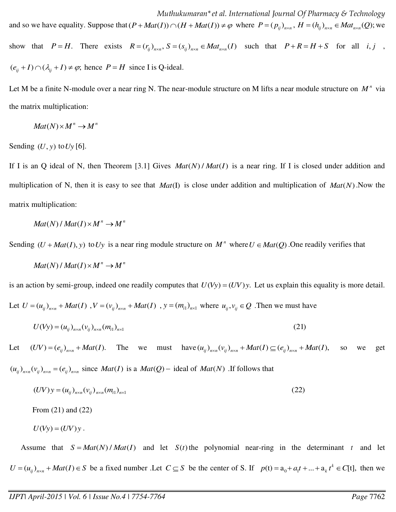*Muthukumaran\*et al. International Journal Of Pharmacy & Technology*  and so we have equality. Suppose that  $(P + Mat(I)) \cap (H + Mat(I)) \neq \varphi$  where  $P = (p_{ij})_{n \times n}$ ,  $H = (h_{ij})_{n \times n} \in Mat_{n \times n}(Q)$ ; we show that  $P = H$ . There exists  $R = (r_{ij})_{n \times n}$ ,  $S = (s_{ij})_{n \times n} \in Mat_{n \times n}(I)$  such that  $P + R = H + S$  for all *i, j*,

 $(e_{ii} + I) \cap (\lambda_{ii} + I) \neq \varphi$ ; hence  $P = H$  since I is Q-ideal.

Let M be a finite N-module over a near ring N. The near-module structure on M lifts a near module structure on *<sup>n</sup> M* via the matrix multiplication:

$$
Mat(N) \times M^n \to M^n
$$

Sending  $(U, y)$  to  $Uy$  [6].

If I is an Q ideal of N, then Theorem [3.1] Gives  $Mat(N)/Mat(I)$  is a near ring. If I is closed under addition and multiplication of N, then it is easy to see that  $Mat(I)$  is close under addition and multiplication of  $Mat(N)$ . Now the matrix multiplication:

$$
Mat(N)/Mat(I)\times M^n\to M^n
$$

Sending  $(U + Mat(I), y)$  to Uy is a near ring module structure on  $M^n$  where  $U \in Mat(Q)$ . One readily verifies that

$$
Mat(N) / Mat(I) \times M^n \to M^n
$$

is an action by semi-group, indeed one readily computes that  $U(Vy) = (UV)y$ . Let us explain this equality is more detail.

Let  $U = (u_{ij})_{n \times n} + Mat(I)$ ,  $V = (v_{ij})_{n \times n} + Mat(I)$ ,  $y = (m_{i1})_{n \times 1}$  where  $u_{ij}, v_{ij} \in Q$ . Then we must have

$$
U(Vy) = (u_{ij})_{n \times n} (v_{ij})_{n \times n} (m_{i1})_{n \times 1}
$$
 (21)

Let  $(UV) = (e_{ij})_{n \times n} + Mat(I)$ . The we must have  $(u_{ij})_{n \times n}(v_{ij})_{n \times n} + Mat(I) \subseteq (e_{ij})_{n \times n} + Mat(I)$ , so we get  $(u_{ij})_{n \times n} (v_{ij})_{n \times n} = (e_{ij})_{n \times n}$  since *Mat(I)* is a *Mat(Q)* – ideal of *Mat(N)*. If follows that

$$
(UV)y = (u_{ij})_{n \times n} (v_{ij})_{n \times n} (m_{i1})_{n \times 1}
$$
 (22)

From (21) and (22)

$$
U(Vy) = (UV)y.
$$

Assume that  $S = Mat(N) / Mat(I)$  and let  $S(t)$  the polynomial near-ring in the determinant *t* and let  $U = (u_{ij})_{n \times n} + Mat(I) \in S$  be a fixed number .Let  $C \subseteq S$  be the center of S. If  $p(t) = a_0 + a_1 t + ... + a_k t^k \in C[t]$ , then we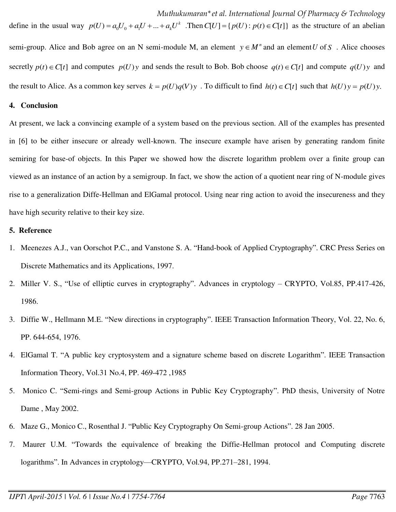define in the usual way  $p(U) = a_0 U_0 + a_1 U + ... + a_k U^k$ . Then  $C[U] = \{p(U) : p(t) \in C[t]\}$  as the structure of an abelian semi-group. Alice and Bob agree on an N semi-module M, an element  $y \in M^n$  and an element U of S. Alice chooses secretly  $p(t) \in C[t]$  and computes  $p(U)y$  and sends the result to Bob. Bob choose  $q(t) \in C[t]$  and compute  $q(U)y$  and the result to Alice. As a common key serves  $k = p(U)q(V)y$ . To difficult to find  $h(t) \in C[t]$  such that  $h(U)y = p(U)y$ .

#### **4. Conclusion**

At present, we lack a convincing example of a system based on the previous section. All of the examples has presented in [6] to be either insecure or already well-known. The insecure example have arisen by generating random finite semiring for base-of objects. In this Paper we showed how the discrete logarithm problem over a finite group can viewed as an instance of an action by a semigroup. In fact, we show the action of a quotient near ring of N-module gives rise to a generalization Diffe-Hellman and ElGamal protocol. Using near ring action to avoid the insecureness and they have high security relative to their key size.

#### **5. Reference**

- 1. Meenezes A.J., van Oorschot P.C., and Vanstone S. A. "Hand-book of Applied Cryptography". CRC Press Series on Discrete Mathematics and its Applications, 1997.
- 2. Miller V. S., "Use of elliptic curves in cryptography". Advances in cryptology CRYPTO, Vol.85, PP.417-426, 1986.
- 3. Diffie W., Hellmann M.E. "New directions in cryptography". IEEE Transaction Information Theory, Vol. 22, No. 6, PP. 644-654, 1976.
- 4. ElGamal T. "A public key cryptosystem and a signature scheme based on discrete Logarithm". IEEE Transaction Information Theory, Vol.31 No.4, PP. 469-472 ,1985
- 5. Monico C. "Semi-rings and Semi-group Actions in Public Key Cryptography". PhD thesis, University of Notre Dame , May 2002.
- 6. Maze G., Monico C., Rosenthal J. "Public Key Cryptography On Semi-group Actions". 28 Jan 2005.
- 7. Maurer U.M. "Towards the equivalence of breaking the Diffie-Hellman protocol and Computing discrete logarithms". In Advances in cryptology—CRYPTO, Vol.94, PP.271–281, 1994.